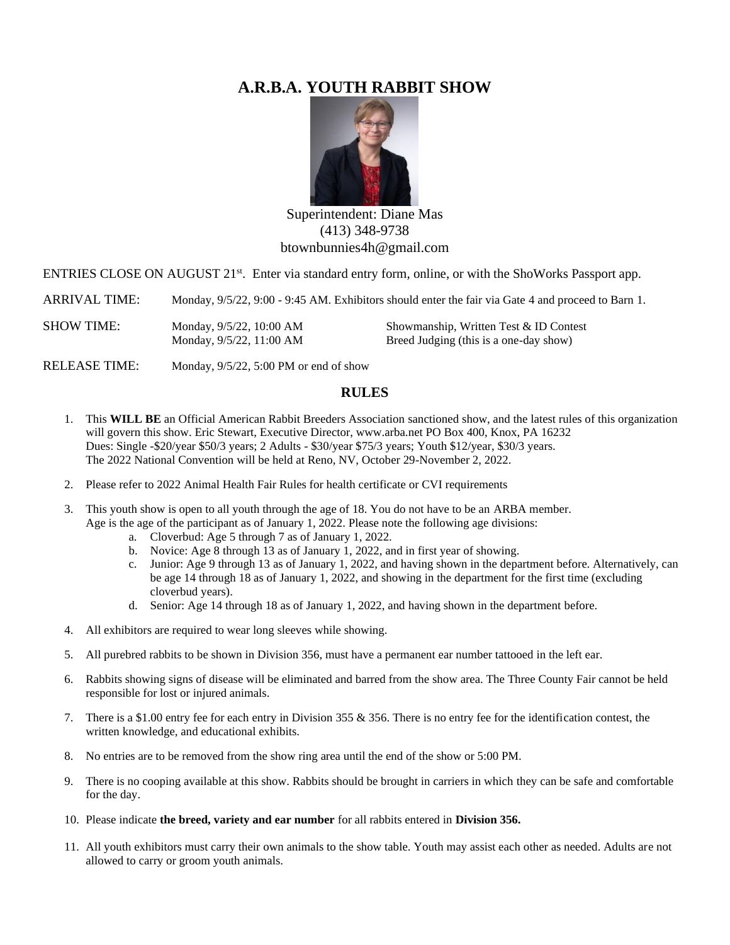# **A.R.B.A. YOUTH RABBIT SHOW**



Superintendent: Diane Mas (413) 348-9738 btownbunnies4h@gmail.com

ENTRIES CLOSE ON AUGUST 21<sup>st</sup>. Enter via standard entry form, online, or with the ShoWorks Passport app.

ARRIVAL TIME: Monday,  $9/5/22$ ,  $9:00 - 9:45$  AM. Exhibitors should enter the fair via Gate 4 and proceed to Barn 1.

SHOW TIME: Monday, 9/5/22, 10:00 AM Showmanship, Written Test & ID Contest Monday,  $9/5/22$ , 11:00 AM Breed Judging (this is a one-day show)

RELEASE TIME: Monday, 9/5/22, 5:00 PM or end of show

### **RULES**

- 1. This **WILL BE** an Official American Rabbit Breeders Association sanctioned show, and the latest rules of this organization will govern this show. Eric Stewart, Executive Director, www.arba.net PO Box 400, Knox, PA 16232 Dues: Single -\$20/year \$50/3 years; 2 Adults - \$30/year \$75/3 years; Youth \$12/year, \$30/3 years. The 2022 National Convention will be held at Reno, NV, October 29-November 2, 2022.
- 2. Please refer to 2022 Animal Health Fair Rules for health certificate or CVI requirements
- 3. This youth show is open to all youth through the age of 18. You do not have to be an ARBA member. Age is the age of the participant as of January 1, 2022. Please note the following age divisions:
	- a. Cloverbud: Age 5 through 7 as of January 1, 2022.
	- b. Novice: Age 8 through 13 as of January 1, 2022, and in first year of showing.
	- c. Junior: Age 9 through 13 as of January 1, 2022, and having shown in the department before. Alternatively, can be age 14 through 18 as of January 1, 2022, and showing in the department for the first time (excluding cloverbud years).
	- d. Senior: Age 14 through 18 as of January 1, 2022, and having shown in the department before.
- 4. All exhibitors are required to wear long sleeves while showing.
- 5. All purebred rabbits to be shown in Division 356, must have a permanent ear number tattooed in the left ear.
- 6. Rabbits showing signs of disease will be eliminated and barred from the show area. The Three County Fair cannot be held responsible for lost or injured animals.
- 7. There is a \$1.00 entry fee for each entry in Division 355 & 356. There is no entry fee for the identification contest, the written knowledge, and educational exhibits.
- 8. No entries are to be removed from the show ring area until the end of the show or 5:00 PM.
- 9. There is no cooping available at this show. Rabbits should be brought in carriers in which they can be safe and comfortable for the day.
- 10. Please indicate **the breed, variety and ear number** for all rabbits entered in **Division 356.**
- 11. All youth exhibitors must carry their own animals to the show table. Youth may assist each other as needed. Adults are not allowed to carry or groom youth animals.